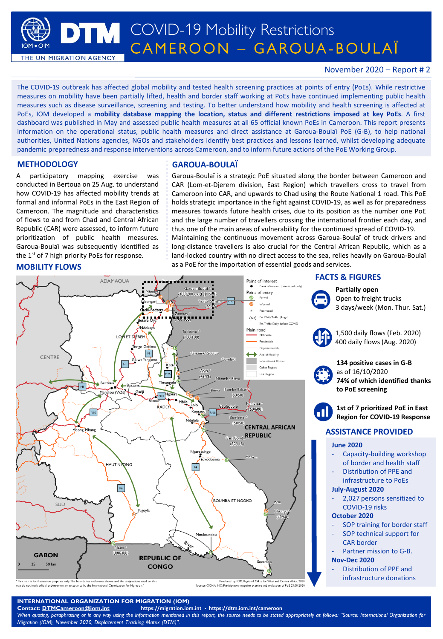**TM** COVID-19 Mobility Restrictions CAMEROON – GAROUA-BOULAÏ

THE UN MIGRATION AGENCY

## November 2020 – Report # 2

The COVID-19 outbreak has affected global mobility and tested health screening practices at points of entry (PoEs). While restrictive measures on mobility have been partially lifted, health and border staff working at PoEs have continued implementing public health measures such as disease surveillance, screening and testing. To better understand how mobility and health screening is affected at PoEs, IOM developed a **mobility database mapping the location, status and different restrictions imposed at key PoEs**. A first dashboard was published in May and assessed public health measures at all 65 official known PoEs in Cameroon. This report presents information on the operational status, public health measures and direct assistance at Garoua-Boulaï PoE (G-B), to help national authorities, United Nations agencies, NGOs and stakeholders identify best practices and lessons learned, whilst developing adequate pandemic preparedness and response interventions across Cameroon, and to inform future actions of the PoE Working Group.

A participatory mapping exercise was conducted in Bertoua on 25 Aug. to understand how COVID-19 has affected mobility trends at formal and informal PoEs in the East Region of Cameroon. The magnitude and characteristics of flows to and from Chad and Central African Republic (CAR) were assessed, to inform future prioritization of public health measures. Garoua-Boulaï was subsequently identified as the 1<sup>st</sup> of 7 high priority PoEs for response.

### **MOBILITY FLOWS**

### **METHODOLOGY GAROUA-BOULAÏ**

Garoua-Boulaï is a strategic PoE situated along the border between Cameroon and CAR (Lom-et-Djerem division, East Region) which travellers cross to travel from Cameroon into CAR, and upwards to Chad using the Route National 1 road. This PoE holds strategic importance in the fight against COVID-19, as well as for preparedness measures towards future health crises, due to its position as the number one PoE and the large number of travellers crossing the international frontier each day, and thus one of the main areas of vulnerability for the continued spread of COVID-19. Maintaining the continuous movement across Garoua-Boulaï of truck drivers and long-distance travellers is also crucial for the Central African Republic, which as a land-locked country with no direct access to the sea, relies heavily on Garoua-Boulaï as a PoE for the importation of essential goods and services.



only. Th d by: IOM Regional Office Sources: OCHA: INC: Ps

## **INTERNATIONAL ORGANIZATION FOR MIGRATION (IOM)**

**Contact: [DTMCameroon@iom.int](mailto:DTMCameroon@iom.int) <https://migration.iom.int> - <https://dtm.iom.int/cameroon>** When quoting, paraphrasing or in any way using the information mentioned in this report, the source needs to be stated appropriately as follows: "Source: International Organization for *Migration (IOM), November 2020, Displacement Tracking Matrix (DTM)".*